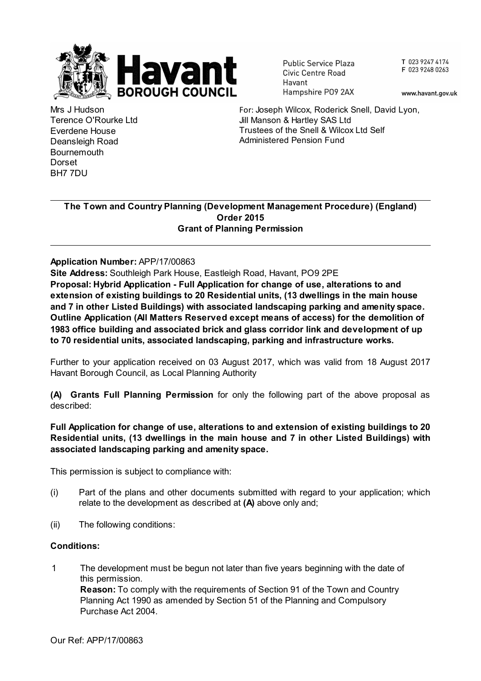

**Public Service Plaza Civic Centre Road** Havant Hampshire PO9 2AX T 023 9247 4174 F 023 9248 0263

www.havant.gov.uk

Mrs J Hudson Terence O'Rourke Ltd Everdene House Deansleigh Road **Bournemouth** Dorset BH7 7DU

For: Joseph Wilcox, Roderick Snell, David Lyon, Jill Manson & Hartley SAS Ltd Trustees of the Snell & Wilcox Ltd Self Administered Pension Fund

#### **The Town and Country Planning (Development Management Procedure) (England) Order 2015 Grant of Planning Permission**

# **Application Number:** APP/17/00863

**Site Address:** Southleigh Park House, Eastleigh Road, Havant, PO9 2PE **Proposal: Hybrid Application - Full Application for change of use, alterations to and extension of existing buildings to 20 Residential units, (13 dwellings in the main house and 7 in other Listed Buildings) with associated landscaping parking and amenity space. Outline Application (All Matters Reserved except means of access) for the demolition of 1983 office building and associated brick and glass corridor link and development of up to 70 residential units, associated landscaping, parking and infrastructure works.**

Further to your application received on 03 August 2017, which was valid from 18 August 2017 Havant Borough Council, as Local Planning Authority

**(A) Grants Full Planning Permission** for only the following part of the above proposal as described:

## **Full Application for change of use, alterations to and extension of existing buildings to 20 Residential units, (13 dwellings in the main house and 7 in other Listed Buildings) with associated landscaping parking and amenity space.**

This permission is subject to compliance with:

- (i) Part of the plans and other documents submitted with regard to your application; which relate to the development as described at **(A)** above only and;
- (ii) The following conditions:

#### **Conditions:**

1 The development must be begun not later than five years beginning with the date of this permission. **Reason:** To comply with the requirements of Section 91 of the Town and Country Planning Act 1990 as amended by Section 51 of the Planning and Compulsory Purchase Act 2004.

Our Ref: APP/17/00863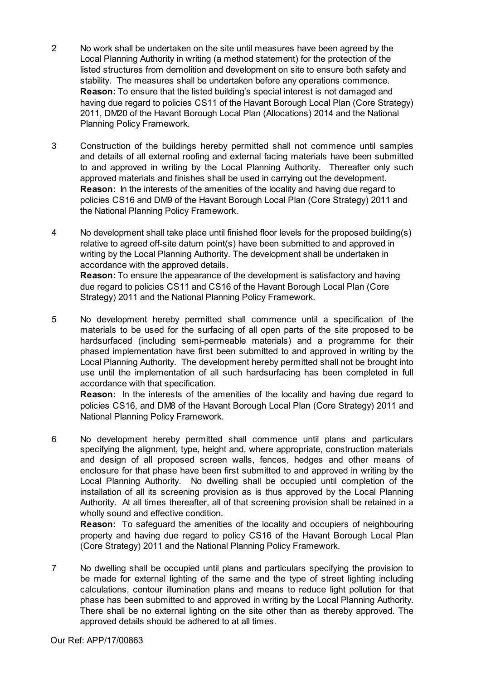- 2 No work shall be undertaken on the site until measures have been agreed by the Local Planning Authority in writing (a method statement) for the protection of the listed structures from demolition and development on site to ensure both safety and stability. The measures shall be undertaken before any operations commence. **Reason:** To ensure that the listed building's special interest is not damaged and having due regard to policies CS11 of the Havant Borough Local Plan (Core Strategy) 2011, DM20 of the Havant Borough Local Plan (Allocations) 2014 and the National Planning Policy Framework.
- 3 Construction of the buildings hereby permitted shall not commence until samples and details of all external roofing and external facing materials have been submitted to and approved in writing by the Local Planning Authority. Thereafter only such approved materials and finishes shall be used in carrying out the development. **Reason:** In the interests of the amenities of the locality and having due regard to policies CS16 and DM9 of the Havant Borough Local Plan (Core Strategy) 2011 and the National Planning Policy Framework.
- 4 No development shall take place until finished floor levels for the proposed building(s) relative to agreed off-site datum point(s) have been submitted to and approved in writing by the Local Planning Authority. The development shall be undertaken in accordance with the approved details.

**Reason:** To ensure the appearance of the development is satisfactory and having due regard to policies CS11 and CS16 of the Havant Borough Local Plan (Core Strategy) 2011 and the National Planning Policy Framework.

5 No development hereby permitted shall commence until a specification of the materials to be used for the surfacing of all open parts of the site proposed to be hardsurfaced (including semi-permeable materials) and a programme for their phased implementation have first been submitted to and approved in writing by the Local Planning Authority. The development hereby permitted shall not be brought into use until the implementation of all such hardsurfacing has been completed in full accordance with that specification.

**Reason:** In the interests of the amenities of the locality and having due regard to policies CS16, and DM8 of the Havant Borough Local Plan (Core Strategy) 2011 and National Planning Policy Framework.

6 No development hereby permitted shall commence until plans and particulars specifying the alignment, type, height and, where appropriate, construction materials and design of all proposed screen walls, fences, hedges and other means of enclosure for that phase have been first submitted to and approved in writing by the Local Planning Authority. No dwelling shall be occupied until completion of the installation of all its screening provision as is thus approved by the Local Planning Authority. At all times thereafter, all of that screening provision shall be retained in a wholly sound and effective condition.

**Reason:** To safeguard the amenities of the locality and occupiers of neighbouring property and having due regard to policy CS16 of the Havant Borough Local Plan (Core Strategy) 2011 and the National Planning Policy Framework.

7 No dwelling shall be occupied until plans and particulars specifying the provision to be made for external lighting of the same and the type of street lighting including calculations, contour illumination plans and means to reduce light pollution for that phase has been submitted to and approved in writing by the Local Planning Authority. There shall be no external lighting on the site other than as thereby approved. The approved details should be adhered to at all times.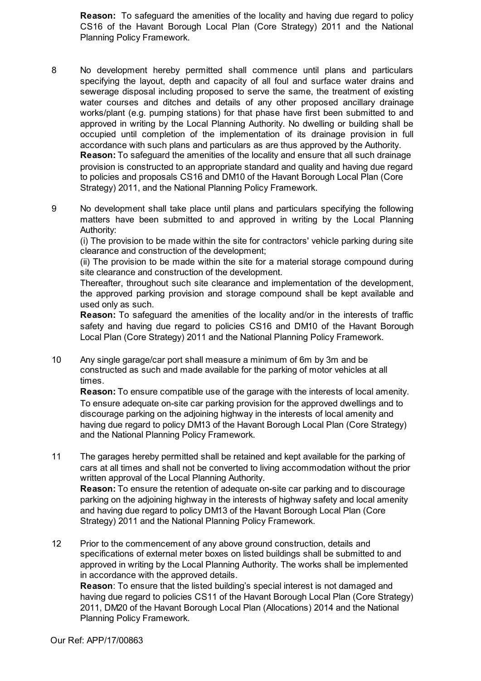**Reason:** To safeguard the amenities of the locality and having due regard to policy CS16 of the Havant Borough Local Plan (Core Strategy) 2011 and the National Planning Policy Framework.

- 8 No development hereby permitted shall commence until plans and particulars specifying the layout, depth and capacity of all foul and surface water drains and sewerage disposal including proposed to serve the same, the treatment of existing water courses and ditches and details of any other proposed ancillary drainage works/plant (e.g. pumping stations) for that phase have first been submitted to and approved in writing by the Local Planning Authority. No dwelling or building shall be occupied until completion of the implementation of its drainage provision in full accordance with such plans and particulars as are thus approved by the Authority. **Reason:** To safeguard the amenities of the locality and ensure that all such drainage provision is constructed to an appropriate standard and quality and having due regard to policies and proposals CS16 and DM10 of the Havant Borough Local Plan (Core Strategy) 2011, and the National Planning Policy Framework.
- 9 No development shall take place until plans and particulars specifying the following matters have been submitted to and approved in writing by the Local Planning Authority:

(i) The provision to be made within the site for contractors' vehicle parking during site clearance and construction of the development;

(ii) The provision to be made within the site for a material storage compound during site clearance and construction of the development.

Thereafter, throughout such site clearance and implementation of the development, the approved parking provision and storage compound shall be kept available and used only as such.

**Reason:** To safeguard the amenities of the locality and/or in the interests of traffic safety and having due regard to policies CS16 and DM10 of the Havant Borough Local Plan (Core Strategy) 2011 and the National Planning Policy Framework.

10 Any single garage/car port shall measure a minimum of 6m by 3m and be constructed as such and made available for the parking of motor vehicles at all times.

**Reason:** To ensure compatible use of the garage with the interests of local amenity. To ensure adequate on-site car parking provision for the approved dwellings and to discourage parking on the adjoining highway in the interests of local amenity and having due regard to policy DM13 of the Havant Borough Local Plan (Core Strategy) and the National Planning Policy Framework.

11 The garages hereby permitted shall be retained and kept available for the parking of cars at all times and shall not be converted to living accommodation without the prior written approval of the Local Planning Authority. **Reason:** To ensure the retention of adequate on-site car parking and to discourage parking on the adjoining highway in the interests of highway safety and local amenity and having due regard to policy DM13 of the Havant Borough Local Plan (Core

Strategy) 2011 and the National Planning Policy Framework.

12 Prior to the commencement of any above ground construction, details and specifications of external meter boxes on listed buildings shall be submitted to and approved in writing by the Local Planning Authority. The works shall be implemented in accordance with the approved details.

**Reason**: To ensure that the listed building's special interest is not damaged and having due regard to policies CS11 of the Havant Borough Local Plan (Core Strategy) 2011, DM20 of the Havant Borough Local Plan (Allocations) 2014 and the National Planning Policy Framework.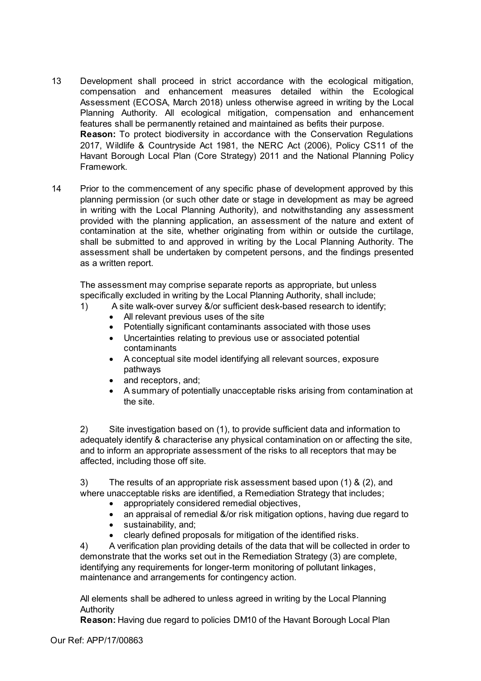- 13 Development shall proceed in strict accordance with the ecological mitigation, compensation and enhancement measures detailed within the Ecological Assessment (ECOSA, March 2018) unless otherwise agreed in writing by the Local Planning Authority. All ecological mitigation, compensation and enhancement features shall be permanently retained and maintained as befits their purpose. **Reason:** To protect biodiversity in accordance with the Conservation Regulations 2017, Wildlife & Countryside Act 1981, the NERC Act (2006), Policy CS11 of the Havant Borough Local Plan (Core Strategy) 2011 and the National Planning Policy Framework.
- 14 Prior to the commencement of any specific phase of development approved by this planning permission (or such other date or stage in development as may be agreed in writing with the Local Planning Authority), and notwithstanding any assessment provided with the planning application, an assessment of the nature and extent of contamination at the site, whether originating from within or outside the curtilage, shall be submitted to and approved in writing by the Local Planning Authority. The assessment shall be undertaken by competent persons, and the findings presented as a written report.

The assessment may comprise separate reports as appropriate, but unless specifically excluded in writing by the Local Planning Authority, shall include;

- 1) A site walk-over survey &/or sufficient desk-based research to identify;
	- · All relevant previous uses of the site
	- · Potentially significant contaminants associated with those uses
	- · Uncertainties relating to previous use or associated potential contaminants
	- · A conceptual site model identifying all relevant sources, exposure pathways
	- and receptors, and;
	- · A summary of potentially unacceptable risks arising from contamination at the site.

2) Site investigation based on (1), to provide sufficient data and information to adequately identify & characterise any physical contamination on or affecting the site, and to inform an appropriate assessment of the risks to all receptors that may be affected, including those off site.

3) The results of an appropriate risk assessment based upon (1) & (2), and where unacceptable risks are identified, a Remediation Strategy that includes;

- · appropriately considered remedial objectives,
- an appraisal of remedial &/or risk mitigation options, having due regard to
- sustainability, and;
- · clearly defined proposals for mitigation of the identified risks.

4) A verification plan providing details of the data that will be collected in order to demonstrate that the works set out in the Remediation Strategy (3) are complete, identifying any requirements for longer-term monitoring of pollutant linkages, maintenance and arrangements for contingency action.

All elements shall be adhered to unless agreed in writing by the Local Planning Authority

**Reason:** Having due regard to policies DM10 of the Havant Borough Local Plan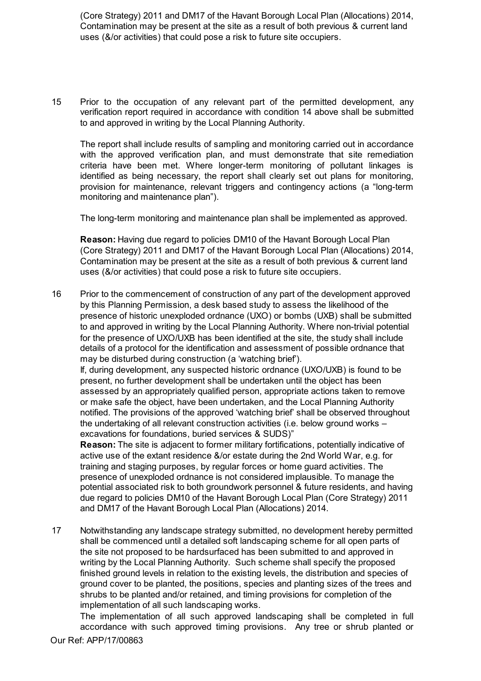(Core Strategy) 2011 and DM17 of the Havant Borough Local Plan (Allocations) 2014, Contamination may be present at the site as a result of both previous & current land uses (&/or activities) that could pose a risk to future site occupiers.

15 Prior to the occupation of any relevant part of the permitted development, any verification report required in accordance with condition 14 above shall be submitted to and approved in writing by the Local Planning Authority.

The report shall include results of sampling and monitoring carried out in accordance with the approved verification plan, and must demonstrate that site remediation criteria have been met. Where longer-term monitoring of pollutant linkages is identified as being necessary, the report shall clearly set out plans for monitoring, provision for maintenance, relevant triggers and contingency actions (a "long-term monitoring and maintenance plan").

The long-term monitoring and maintenance plan shall be implemented as approved.

**Reason:** Having due regard to policies DM10 of the Havant Borough Local Plan (Core Strategy) 2011 and DM17 of the Havant Borough Local Plan (Allocations) 2014, Contamination may be present at the site as a result of both previous & current land uses (&/or activities) that could pose a risk to future site occupiers.

16 Prior to the commencement of construction of any part of the development approved by this Planning Permission, a desk based study to assess the likelihood of the presence of historic unexploded ordnance (UXO) or bombs (UXB) shall be submitted to and approved in writing by the Local Planning Authority. Where non-trivial potential for the presence of UXO/UXB has been identified at the site, the study shall include details of a protocol for the identification and assessment of possible ordnance that may be disturbed during construction (a 'watching brief').

If, during development, any suspected historic ordnance (UXO/UXB) is found to be present, no further development shall be undertaken until the object has been assessed by an appropriately qualified person, appropriate actions taken to remove or make safe the object, have been undertaken, and the Local Planning Authority notified. The provisions of the approved 'watching brief' shall be observed throughout the undertaking of all relevant construction activities (i.e. below ground works – excavations for foundations, buried services & SUDS)"

**Reason:** The site is adjacent to former military fortifications, potentially indicative of active use of the extant residence &/or estate during the 2nd World War, e.g. for training and staging purposes, by regular forces or home guard activities. The presence of unexploded ordnance is not considered implausible. To manage the potential associated risk to both groundwork personnel & future residents, and having due regard to policies DM10 of the Havant Borough Local Plan (Core Strategy) 2011 and DM17 of the Havant Borough Local Plan (Allocations) 2014.

17 Notwithstanding any landscape strategy submitted, no development hereby permitted shall be commenced until a detailed soft landscaping scheme for all open parts of the site not proposed to be hardsurfaced has been submitted to and approved in writing by the Local Planning Authority. Such scheme shall specify the proposed finished ground levels in relation to the existing levels, the distribution and species of ground cover to be planted, the positions, species and planting sizes of the trees and shrubs to be planted and/or retained, and timing provisions for completion of the implementation of all such landscaping works.

The implementation of all such approved landscaping shall be completed in full accordance with such approved timing provisions. Any tree or shrub planted or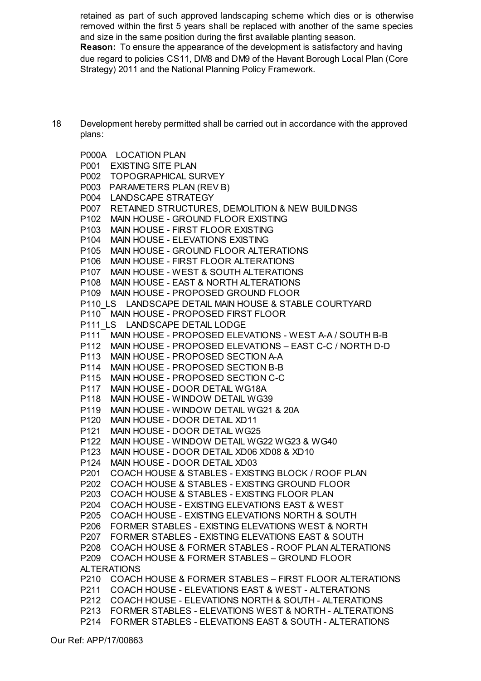retained as part of such approved landscaping scheme which dies or is otherwise removed within the first 5 years shall be replaced with another of the same species and size in the same position during the first available planting season. **Reason:** To ensure the appearance of the development is satisfactory and having due regard to policies CS11, DM8 and DM9 of the Havant Borough Local Plan (Core Strategy) 2011 and the National Planning Policy Framework.

18 Development hereby permitted shall be carried out in accordance with the approved plans:

P000A LOCATION PLAN P001 EXISTING SITE PLAN P002 TOPOGRAPHICAL SURVEY P003 PARAMETERS PLAN (REV B) P004 LANDSCAPE STRATEGY P007 RETAINED STRUCTURES, DEMOLITION & NEW BUILDINGS P102 MAIN HOUSE - GROUND FLOOR EXISTING P103 MAIN HOUSE - FIRST FLOOR EXISTING P104 MAIN HOUSE - ELEVATIONS EXISTING P105 MAIN HOUSE - GROUND FLOOR ALTERATIONS P106 MAIN HOUSE - FIRST FLOOR ALTERATIONS P107 MAIN HOUSE - WEST & SOUTH ALTERATIONS P108 MAIN HOUSE - EAST & NORTH ALTERATIONS P109 MAIN HOUSE - PROPOSED GROUND FLOOR P110 LS LANDSCAPE DETAIL MAIN HOUSE & STABLE COURTYARD P110 MAIN HOUSE - PROPOSED FIRST FLOOR P111 LS LANDSCAPE DETAIL LODGE P111 MAIN HOUSE - PROPOSED ELEVATIONS - WEST A-A / SOUTH B-B P112 MAIN HOUSE - PROPOSED ELEVATIONS – EAST C-C / NORTH D-D P113 MAIN HOUSE - PROPOSED SECTION A-A P114 MAIN HOUSE - PROPOSED SECTION B-B P115 MAIN HOUSE - PROPOSED SECTION C-C P117 MAIN HOUSE - DOOR DETAIL WG18A P118 MAIN HOUSE - WINDOW DETAIL WG39 P119 MAIN HOUSE - WINDOW DETAIL WG21 & 20A P120 MAIN HOUSE - DOOR DETAIL XD11 P121 MAIN HOUSE - DOOR DETAIL WG25 P122 MAIN HOUSE - WINDOW DETAIL WG22 WG23 & WG40 P123 MAIN HOUSE - DOOR DETAIL XD06 XD08 & XD10 P124 MAIN HOUSE - DOOR DETAIL XD03 P201 COACH HOUSE & STABLES - EXISTING BLOCK / ROOF PLAN P202 COACH HOUSE & STABLES - EXISTING GROUND FLOOR P203 COACH HOUSE & STABLES - EXISTING FLOOR PLAN P204 COACH HOUSE - EXISTING ELEVATIONS EAST & WEST P205 COACH HOUSE - EXISTING ELEVATIONS NORTH & SOUTH P206 FORMER STABLES - EXISTING ELEVATIONS WEST & NORTH P207 FORMER STABLES - EXISTING ELEVATIONS EAST & SOUTH P208 COACH HOUSE & FORMER STABLES - ROOF PLAN ALTERATIONS P209 COACH HOUSE & FORMER STABLES – GROUND FLOOR **ALTERATIONS** P210 COACH HOUSE & FORMER STABLES – FIRST FLOOR ALTERATIONS P211 COACH HOUSE - ELEVATIONS EAST & WEST - ALTERATIONS P212 COACH HOUSE - ELEVATIONS NORTH & SOUTH - ALTERATIONS P213 FORMER STABLES - ELEVATIONS WEST & NORTH - ALTERATIONS P214 FORMER STABLES - ELEVATIONS EAST & SOUTH - ALTERATIONS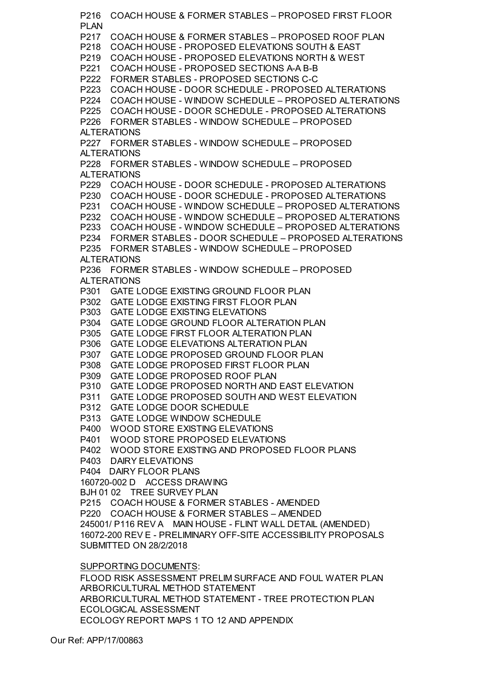P216 COACH HOUSE & FORMER STABLES – PROPOSED FIRST FLOOR PI AN P217 COACH HOUSE & FORMER STABLES – PROPOSED ROOF PLAN P218 COACH HOUSE - PROPOSED ELEVATIONS SOUTH & EAST P219 COACH HOUSE - PROPOSED ELEVATIONS NORTH & WEST P221 COACH HOUSE - PROPOSED SECTIONS A-A B-B P222 FORMER STABLES - PROPOSED SECTIONS C-C P223 COACH HOUSE - DOOR SCHEDULE - PROPOSED ALTERATIONS P224 COACH HOUSE - WINDOW SCHEDULE – PROPOSED ALTERATIONS P225 COACH HOUSE - DOOR SCHEDULE - PROPOSED ALTERATIONS P226 FORMER STABLES - WINDOW SCHEDULE – PROPOSED **ALTERATIONS** P227 FORMER STABLES - WINDOW SCHEDULE – PROPOSED ALTERATIONS P228 FORMER STABLES - WINDOW SCHEDULE – PROPOSED **ALTERATIONS** P229 COACH HOUSE - DOOR SCHEDULE - PROPOSED ALTERATIONS P230 COACH HOUSE - DOOR SCHEDULE - PROPOSED ALTERATIONS P231 COACH HOUSE - WINDOW SCHEDULE – PROPOSED ALTERATIONS P232 COACH HOUSE - WINDOW SCHEDULE – PROPOSED ALTERATIONS P233 COACH HOUSE - WINDOW SCHEDULE – PROPOSED ALTERATIONS P234 FORMER STABLES - DOOR SCHEDULE – PROPOSED ALTERATIONS P235 FORMER STABLES - WINDOW SCHEDULE – PROPOSED **ALTERATIONS** P236 FORMER STABLES - WINDOW SCHEDULE – PROPOSED **ALTERATIONS** P301 GATE LODGE EXISTING GROUND FLOOR PLAN P302 GATE LODGE EXISTING FIRST FLOOR PLAN P303 GATE LODGE EXISTING ELEVATIONS P304 GATE LODGE GROUND FLOOR ALTERATION PLAN P305 GATE LODGE FIRST FLOOR ALTERATION PLAN P306 GATE LODGE ELEVATIONS ALTERATION PLAN P307 GATE LODGE PROPOSED GROUND FLOOR PLAN P308 GATE LODGE PROPOSED FIRST FLOOR PLAN P309 GATE LODGE PROPOSED ROOF PLAN P310 GATE LODGE PROPOSED NORTH AND EAST ELEVATION P311 GATE LODGE PROPOSED SOUTH AND WEST ELEVATION P312 GATE LODGE DOOR SCHEDULE P313 GATE LODGE WINDOW SCHEDULE P400 WOOD STORE EXISTING ELEVATIONS P401 WOOD STORE PROPOSED ELEVATIONS P402 WOOD STORE EXISTING AND PROPOSED FLOOR PLANS P403 DAIRY ELEVATIONS P404 DAIRY FLOOR PLANS 160720-002 D ACCESS DRAWING BJH 01 02 TREE SURVEY PLAN P215 COACH HOUSE & FORMER STABLES - AMENDED P220 COACH HOUSE & FORMER STABLES – AMENDED 245001/ P116 REV A MAIN HOUSE - FLINT WALL DETAIL (AMENDED) 16072-200 REV E - PRELIMINARY OFF-SITE ACCESSIBILITY PROPOSALS SUBMITTED ON 28/2/2018 SUPPORTING DOCUMENTS:

FLOOD RISK ASSESSMENT PRELIM SURFACE AND FOUL WATER PLAN ARBORICULTURAL METHOD STATEMENT ARBORICULTURAL METHOD STATEMENT - TREE PROTECTION PLAN ECOLOGICAL ASSESSMENT ECOLOGY REPORT MAPS 1 TO 12 AND APPENDIX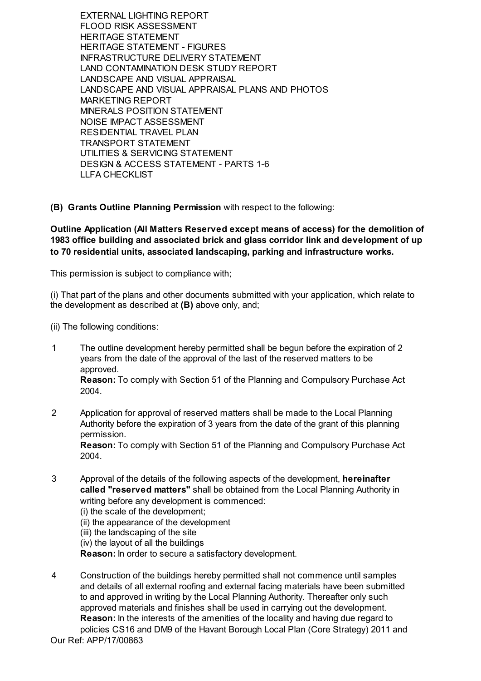EXTERNAL LIGHTING REPORT FLOOD RISK ASSESSMENT HERITAGE STATEMENT HERITAGE STATEMENT - FIGURES INFRASTRUCTURE DELIVERY STATEMENT LAND CONTAMINATION DESK STUDY REPORT LANDSCAPE AND VISUAL APPRAISAL LANDSCAPE AND VISUAL APPRAISAL PLANS AND PHOTOS MARKETING REPORT MINERALS POSITION STATEMENT NOISE IMPACT ASSESSMENT RESIDENTIAL TRAVEL PLAN TRANSPORT STATEMENT UTILITIES & SERVICING STATEMENT DESIGN & ACCESS STATEMENT - PARTS 1-6 LLFA CHECKLIST

**(B) Grants Outline Planning Permission** with respect to the following:

**Outline Application (All Matters Reserved except means of access) for the demolition of 1983 office building and associated brick and glass corridor link and development of up to 70 residential units, associated landscaping, parking and infrastructure works.**

This permission is subject to compliance with;

(i) That part of the plans and other documents submitted with your application, which relate to the development as described at **(B)** above only, and;

- (ii) The following conditions:
- 1 The outline development hereby permitted shall be begun before the expiration of 2 years from the date of the approval of the last of the reserved matters to be approved. **Reason:** To comply with Section 51 of the Planning and Compulsory Purchase Act 2004.
- 2 Application for approval of reserved matters shall be made to the Local Planning Authority before the expiration of 3 years from the date of the grant of this planning permission.

**Reason:** To comply with Section 51 of the Planning and Compulsory Purchase Act 2004.

3 Approval of the details of the following aspects of the development, **hereinafter called "reserved matters"** shall be obtained from the Local Planning Authority in writing before any development is commenced:

(i) the scale of the development; (ii) the appearance of the development (iii) the landscaping of the site (iv) the layout of all the buildings **Reason:** In order to secure a satisfactory development.

Our Ref: APP/17/00863 4 Construction of the buildings hereby permitted shall not commence until samples and details of all external roofing and external facing materials have been submitted to and approved in writing by the Local Planning Authority. Thereafter only such approved materials and finishes shall be used in carrying out the development. **Reason:** In the interests of the amenities of the locality and having due regard to policies CS16 and DM9 of the Havant Borough Local Plan (Core Strategy) 2011 and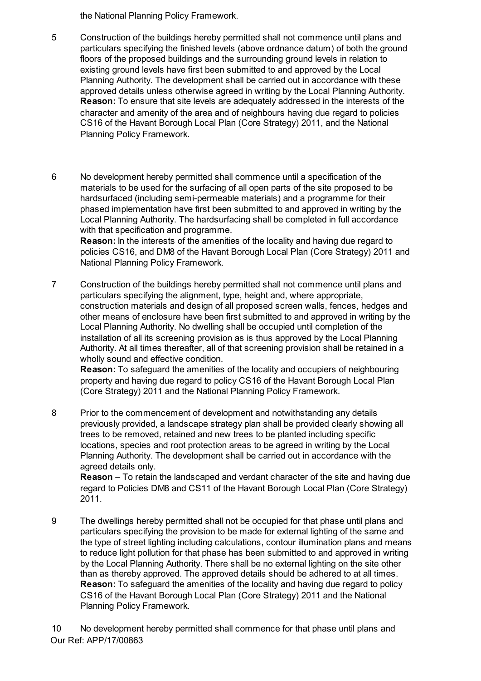the National Planning Policy Framework.

- 5 Construction of the buildings hereby permitted shall not commence until plans and particulars specifying the finished levels (above ordnance datum) of both the ground floors of the proposed buildings and the surrounding ground levels in relation to existing ground levels have first been submitted to and approved by the Local Planning Authority. The development shall be carried out in accordance with these approved details unless otherwise agreed in writing by the Local Planning Authority. **Reason:** To ensure that site levels are adequately addressed in the interests of the character and amenity of the area and of neighbours having due regard to policies CS16 of the Havant Borough Local Plan (Core Strategy) 2011, and the National Planning Policy Framework.
- 6 No development hereby permitted shall commence until a specification of the materials to be used for the surfacing of all open parts of the site proposed to be hardsurfaced (including semi-permeable materials) and a programme for their phased implementation have first been submitted to and approved in writing by the Local Planning Authority. The hardsurfacing shall be completed in full accordance with that specification and programme.

**Reason:** In the interests of the amenities of the locality and having due regard to policies CS16, and DM8 of the Havant Borough Local Plan (Core Strategy) 2011 and National Planning Policy Framework.

7 Construction of the buildings hereby permitted shall not commence until plans and particulars specifying the alignment, type, height and, where appropriate, construction materials and design of all proposed screen walls, fences, hedges and other means of enclosure have been first submitted to and approved in writing by the Local Planning Authority. No dwelling shall be occupied until completion of the installation of all its screening provision as is thus approved by the Local Planning Authority. At all times thereafter, all of that screening provision shall be retained in a wholly sound and effective condition.

**Reason:** To safeguard the amenities of the locality and occupiers of neighbouring property and having due regard to policy CS16 of the Havant Borough Local Plan (Core Strategy) 2011 and the National Planning Policy Framework.

8 Prior to the commencement of development and notwithstanding any details previously provided, a landscape strategy plan shall be provided clearly showing all trees to be removed, retained and new trees to be planted including specific locations, species and root protection areas to be agreed in writing by the Local Planning Authority. The development shall be carried out in accordance with the agreed details only.

**Reason** – To retain the landscaped and verdant character of the site and having due regard to Policies DM8 and CS11 of the Havant Borough Local Plan (Core Strategy) 2011.

9 The dwellings hereby permitted shall not be occupied for that phase until plans and particulars specifying the provision to be made for external lighting of the same and the type of street lighting including calculations, contour illumination plans and means to reduce light pollution for that phase has been submitted to and approved in writing by the Local Planning Authority. There shall be no external lighting on the site other than as thereby approved. The approved details should be adhered to at all times. **Reason:** To safeguard the amenities of the locality and having due regard to policy CS16 of the Havant Borough Local Plan (Core Strategy) 2011 and the National Planning Policy Framework.

Our Ref: APP/17/00863 10 No development hereby permitted shall commence for that phase until plans and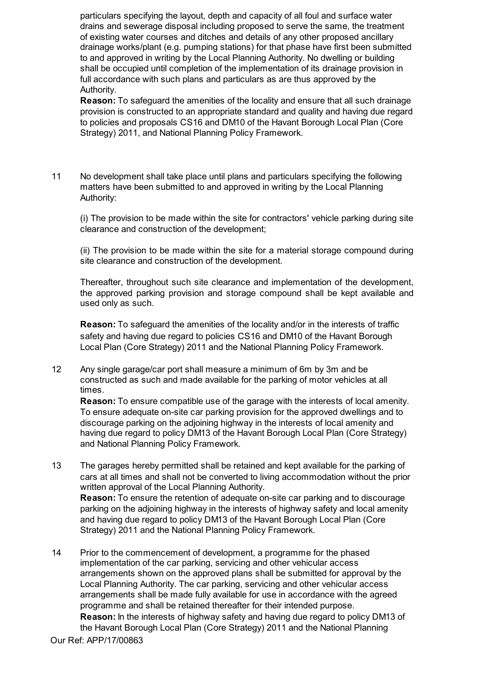particulars specifying the layout, depth and capacity of all foul and surface water drains and sewerage disposal including proposed to serve the same, the treatment of existing water courses and ditches and details of any other proposed ancillary drainage works/plant (e.g. pumping stations) for that phase have first been submitted to and approved in writing by the Local Planning Authority. No dwelling or building shall be occupied until completion of the implementation of its drainage provision in full accordance with such plans and particulars as are thus approved by the Authority.

**Reason:** To safeguard the amenities of the locality and ensure that all such drainage provision is constructed to an appropriate standard and quality and having due regard to policies and proposals CS16 and DM10 of the Havant Borough Local Plan (Core Strategy) 2011, and National Planning Policy Framework.

11 No development shall take place until plans and particulars specifying the following matters have been submitted to and approved in writing by the Local Planning Authority:

(i) The provision to be made within the site for contractors' vehicle parking during site clearance and construction of the development;

(ii) The provision to be made within the site for a material storage compound during site clearance and construction of the development.

Thereafter, throughout such site clearance and implementation of the development, the approved parking provision and storage compound shall be kept available and used only as such.

**Reason:** To safeguard the amenities of the locality and/or in the interests of traffic safety and having due regard to policies CS16 and DM10 of the Havant Borough Local Plan (Core Strategy) 2011 and the National Planning Policy Framework.

12 Any single garage/car port shall measure a minimum of 6m by 3m and be constructed as such and made available for the parking of motor vehicles at all times.

**Reason:** To ensure compatible use of the garage with the interests of local amenity. To ensure adequate on-site car parking provision for the approved dwellings and to discourage parking on the adjoining highway in the interests of local amenity and having due regard to policy DM13 of the Havant Borough Local Plan (Core Strategy) and National Planning Policy Framework.

- 13 The garages hereby permitted shall be retained and kept available for the parking of cars at all times and shall not be converted to living accommodation without the prior written approval of the Local Planning Authority. **Reason:** To ensure the retention of adequate on-site car parking and to discourage parking on the adjoining highway in the interests of highway safety and local amenity and having due regard to policy DM13 of the Havant Borough Local Plan (Core Strategy) 2011 and the National Planning Policy Framework.
- 14 Prior to the commencement of development, a programme for the phased implementation of the car parking, servicing and other vehicular access arrangements shown on the approved plans shall be submitted for approval by the Local Planning Authority. The car parking, servicing and other vehicular access arrangements shall be made fully available for use in accordance with the agreed programme and shall be retained thereafter for their intended purpose. **Reason:** In the interests of highway safety and having due regard to policy DM13 of the Havant Borough Local Plan (Core Strategy) 2011 and the National Planning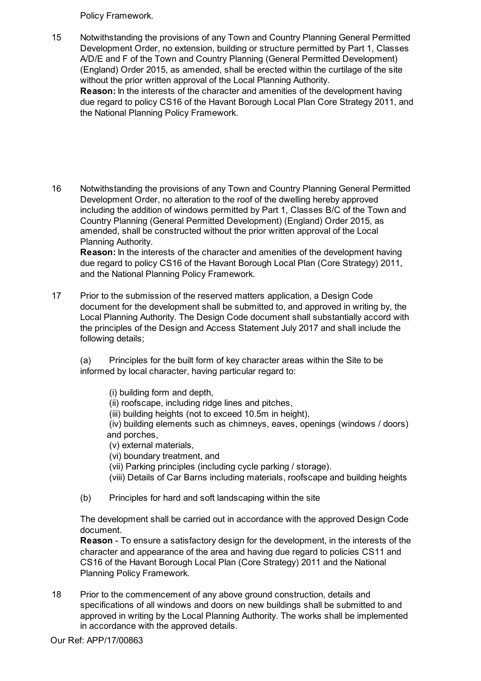Policy Framework.

15 Notwithstanding the provisions of any Town and Country Planning General Permitted Development Order, no extension, building or structure permitted by Part 1, Classes A/D/E and F of the Town and Country Planning (General Permitted Development) (England) Order 2015, as amended, shall be erected within the curtilage of the site without the prior written approval of the Local Planning Authority.

**Reason:** In the interests of the character and amenities of the development having due regard to policy CS16 of the Havant Borough Local Plan Core Strategy 2011, and the National Planning Policy Framework.

16 Notwithstanding the provisions of any Town and Country Planning General Permitted Development Order, no alteration to the roof of the dwelling hereby approved including the addition of windows permitted by Part 1, Classes B/C of the Town and Country Planning (General Permitted Development) (England) Order 2015, as amended, shall be constructed without the prior written approval of the Local Planning Authority.

**Reason:** In the interests of the character and amenities of the development having due regard to policy CS16 of the Havant Borough Local Plan (Core Strategy) 2011, and the National Planning Policy Framework.

17 Prior to the submission of the reserved matters application, a Design Code document for the development shall be submitted to, and approved in writing by, the Local Planning Authority. The Design Code document shall substantially accord with the principles of the Design and Access Statement July 2017 and shall include the following details;

(a) Principles for the built form of key character areas within the Site to be informed by local character, having particular regard to:

(i) building form and depth,

- (ii) roofscape, including ridge lines and pitches,
- (iii) building heights (not to exceed 10.5m in height),

 (iv) building elements such as chimneys, eaves, openings (windows / doors) and porches,

- (v) external materials,
- (vi) boundary treatment, and
- (vii) Parking principles (including cycle parking / storage).
- (viii) Details of Car Barns including materials, roofscape and building heights
- (b) Principles for hard and soft landscaping within the site

The development shall be carried out in accordance with the approved Design Code document.

**Reason** - To ensure a satisfactory design for the development, in the interests of the character and appearance of the area and having due regard to policies CS11 and CS16 of the Havant Borough Local Plan (Core Strategy) 2011 and the National Planning Policy Framework.

18 Prior to the commencement of any above ground construction, details and specifications of all windows and doors on new buildings shall be submitted to and approved in writing by the Local Planning Authority. The works shall be implemented in accordance with the approved details.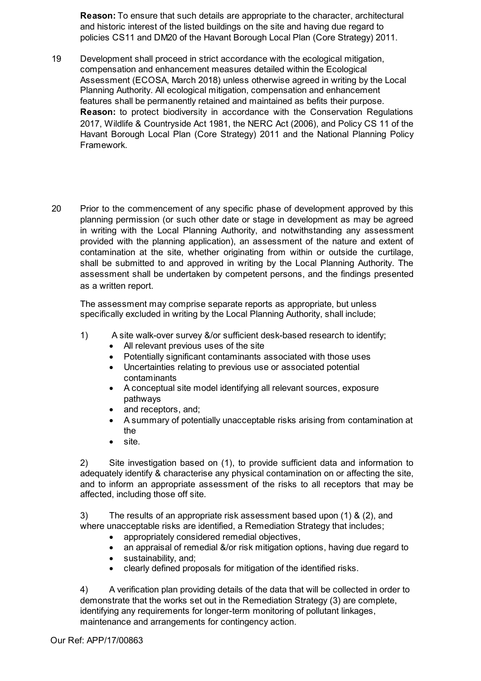**Reason:** To ensure that such details are appropriate to the character, architectural and historic interest of the listed buildings on the site and having due regard to policies CS11 and DM20 of the Havant Borough Local Plan (Core Strategy) 2011.

- 19 Development shall proceed in strict accordance with the ecological mitigation, compensation and enhancement measures detailed within the Ecological Assessment (ECOSA, March 2018) unless otherwise agreed in writing by the Local Planning Authority. All ecological mitigation, compensation and enhancement features shall be permanently retained and maintained as befits their purpose. **Reason:** to protect biodiversity in accordance with the Conservation Regulations 2017, Wildlife & Countryside Act 1981, the NERC Act (2006), and Policy CS 11 of the Havant Borough Local Plan (Core Strategy) 2011 and the National Planning Policy Framework.
- 20 Prior to the commencement of any specific phase of development approved by this planning permission (or such other date or stage in development as may be agreed in writing with the Local Planning Authority, and notwithstanding any assessment provided with the planning application), an assessment of the nature and extent of contamination at the site, whether originating from within or outside the curtilage, shall be submitted to and approved in writing by the Local Planning Authority. The assessment shall be undertaken by competent persons, and the findings presented as a written report.

The assessment may comprise separate reports as appropriate, but unless specifically excluded in writing by the Local Planning Authority, shall include;

- 1) A site walk-over survey &/or sufficient desk-based research to identify;
	- · All relevant previous uses of the site
	- · Potentially significant contaminants associated with those uses
	- · Uncertainties relating to previous use or associated potential contaminants
	- · A conceptual site model identifying all relevant sources, exposure pathways
	- and receptors, and;
	- A summary of potentially unacceptable risks arising from contamination at the
	- · site.

2) Site investigation based on (1), to provide sufficient data and information to adequately identify & characterise any physical contamination on or affecting the site, and to inform an appropriate assessment of the risks to all receptors that may be affected, including those off site.

3) The results of an appropriate risk assessment based upon (1) & (2), and where unacceptable risks are identified, a Remediation Strategy that includes;

- · appropriately considered remedial objectives,
- an appraisal of remedial &/or risk mitigation options, having due regard to
- sustainability, and;
- · clearly defined proposals for mitigation of the identified risks.

4) A verification plan providing details of the data that will be collected in order to demonstrate that the works set out in the Remediation Strategy (3) are complete, identifying any requirements for longer-term monitoring of pollutant linkages, maintenance and arrangements for contingency action.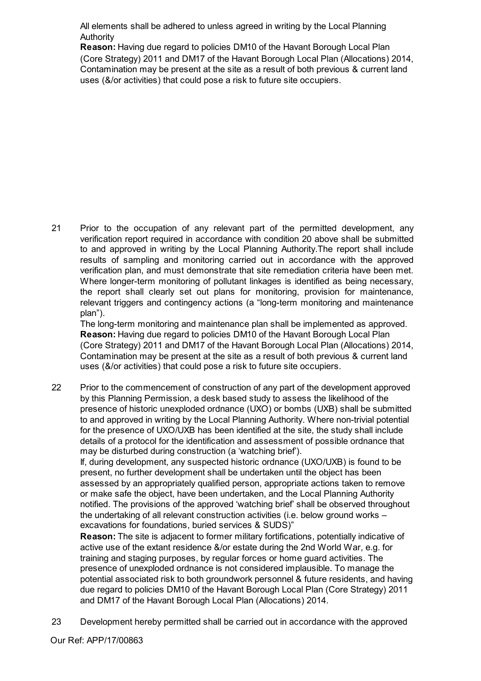All elements shall be adhered to unless agreed in writing by the Local Planning Authority

**Reason:** Having due regard to policies DM10 of the Havant Borough Local Plan (Core Strategy) 2011 and DM17 of the Havant Borough Local Plan (Allocations) 2014, Contamination may be present at the site as a result of both previous & current land uses (&/or activities) that could pose a risk to future site occupiers.

21 Prior to the occupation of any relevant part of the permitted development, any verification report required in accordance with condition 20 above shall be submitted to and approved in writing by the Local Planning Authority.The report shall include results of sampling and monitoring carried out in accordance with the approved verification plan, and must demonstrate that site remediation criteria have been met. Where longer-term monitoring of pollutant linkages is identified as being necessary, the report shall clearly set out plans for monitoring, provision for maintenance, relevant triggers and contingency actions (a "long-term monitoring and maintenance plan").

The long-term monitoring and maintenance plan shall be implemented as approved. **Reason:** Having due regard to policies DM10 of the Havant Borough Local Plan (Core Strategy) 2011 and DM17 of the Havant Borough Local Plan (Allocations) 2014, Contamination may be present at the site as a result of both previous & current land uses (&/or activities) that could pose a risk to future site occupiers.

22 Prior to the commencement of construction of any part of the development approved by this Planning Permission, a desk based study to assess the likelihood of the presence of historic unexploded ordnance (UXO) or bombs (UXB) shall be submitted to and approved in writing by the Local Planning Authority. Where non-trivial potential for the presence of UXO/UXB has been identified at the site, the study shall include details of a protocol for the identification and assessment of possible ordnance that may be disturbed during construction (a 'watching brief').

If, during development, any suspected historic ordnance (UXO/UXB) is found to be present, no further development shall be undertaken until the object has been assessed by an appropriately qualified person, appropriate actions taken to remove or make safe the object, have been undertaken, and the Local Planning Authority notified. The provisions of the approved 'watching brief' shall be observed throughout the undertaking of all relevant construction activities (i.e. below ground works – excavations for foundations, buried services & SUDS)"

**Reason:** The site is adjacent to former military fortifications, potentially indicative of active use of the extant residence &/or estate during the 2nd World War, e.g. for training and staging purposes, by regular forces or home guard activities. The presence of unexploded ordnance is not considered implausible. To manage the potential associated risk to both groundwork personnel & future residents, and having due regard to policies DM10 of the Havant Borough Local Plan (Core Strategy) 2011 and DM17 of the Havant Borough Local Plan (Allocations) 2014.

23 Development hereby permitted shall be carried out in accordance with the approved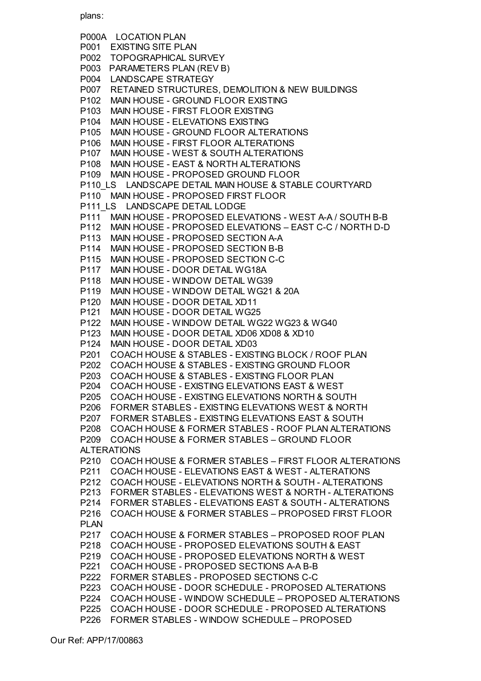plans:

P000A LOCATION PLAN P001 EXISTING SITE PLAN P002 TOPOGRAPHICAL SURVEY P003 PARAMETERS PLAN (REV B) P004 LANDSCAPE STRATEGY P007 RETAINED STRUCTURES, DEMOLITION & NEW BUILDINGS P102 MAIN HOUSE - GROUND FLOOR EXISTING P103 MAIN HOUSE - FIRST FLOOR EXISTING P104 MAIN HOUSE - ELEVATIONS EXISTING P105 MAIN HOUSE - GROUND FLOOR ALTERATIONS P106 MAIN HOUSE - FIRST FLOOR ALTERATIONS P107 MAIN HOUSE - WEST & SOUTH ALTERATIONS P108 MAIN HOUSE - EAST & NORTH ALTERATIONS P109 MAIN HOUSE - PROPOSED GROUND FLOOR P110 LS LANDSCAPE DETAIL MAIN HOUSE & STABLE COURTYARD P110 MAIN HOUSE - PROPOSED FIRST FLOOR P111 LS LANDSCAPE DETAIL LODGE P111 MAIN HOUSE - PROPOSED ELEVATIONS - WEST A-A / SOUTH B-B P112 MAIN HOUSE - PROPOSED ELEVATIONS – EAST C-C / NORTH D-D P113 MAIN HOUSE - PROPOSED SECTION A-A P114 MAIN HOUSE - PROPOSED SECTION B-B P115 MAIN HOUSE - PROPOSED SECTION C-C P117 MAIN HOUSE - DOOR DETAIL WG18A P118 MAIN HOUSE - WINDOW DETAIL WG39 P119 MAIN HOUSE - WINDOW DETAIL WG21 & 20A P120 MAIN HOUSE - DOOR DETAIL XD11 P121 MAIN HOUSE - DOOR DETAIL WG25 P122 MAIN HOUSE - WINDOW DETAIL WG22 WG23 & WG40 P123 MAIN HOUSE - DOOR DETAIL XD06 XD08 & XD10 P124 MAIN HOUSE - DOOR DETAIL XD03 P201 COACH HOUSE & STABLES - EXISTING BLOCK / ROOF PLAN P202 COACH HOUSE & STABLES - EXISTING GROUND FLOOR P203 COACH HOUSE & STABLES - EXISTING FLOOR PLAN P204 COACH HOUSE - EXISTING ELEVATIONS EAST & WEST P205 COACH HOUSE - EXISTING ELEVATIONS NORTH & SOUTH P206 FORMER STABLES - EXISTING ELEVATIONS WEST & NORTH P207 FORMER STABLES - EXISTING ELEVATIONS EAST & SOUTH P208 COACH HOUSE & FORMER STABLES - ROOF PLAN ALTERATIONS P209 COACH HOUSE & FORMER STABLES – GROUND FLOOR ALTERATIONS P210 COACH HOUSE & FORMER STABLES – FIRST FLOOR ALTERATIONS P211 COACH HOUSE - ELEVATIONS EAST & WEST - ALTERATIONS P212 COACH HOUSE - ELEVATIONS NORTH & SOUTH - ALTERATIONS P213 FORMER STABLES - ELEVATIONS WEST & NORTH - ALTERATIONS P214 FORMER STABLES - ELEVATIONS EAST & SOUTH - ALTERATIONS P216 COACH HOUSE & FORMER STABLES – PROPOSED FIRST FLOOR PLAN P217 COACH HOUSE & FORMER STABLES – PROPOSED ROOF PLAN P218 COACH HOUSE - PROPOSED ELEVATIONS SOUTH & EAST P219 COACH HOUSE - PROPOSED ELEVATIONS NORTH & WEST P221 COACH HOUSE - PROPOSED SECTIONS A-A B-B P222 FORMER STABLES - PROPOSED SECTIONS C-C P223 COACH HOUSE - DOOR SCHEDULE - PROPOSED ALTERATIONS P224 COACH HOUSE - WINDOW SCHEDULE – PROPOSED ALTERATIONS P225 COACH HOUSE - DOOR SCHEDULE - PROPOSED ALTERATIONS P226 FORMER STABLES - WINDOW SCHEDULE – PROPOSED

Our Ref: APP/17/00863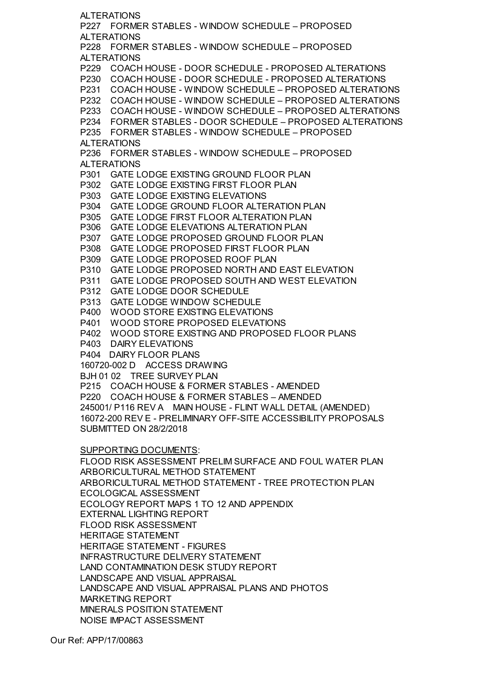ALTERATIONS P227 FORMER STABLES - WINDOW SCHEDULE – PROPOSED ALTERATIONS P228 FORMER STABLES - WINDOW SCHEDULE – PROPOSED **ALTERATIONS** P229 COACH HOUSE - DOOR SCHEDULE - PROPOSED ALTERATIONS P230 COACH HOUSE - DOOR SCHEDULE - PROPOSED ALTERATIONS P231 COACH HOUSE - WINDOW SCHEDULE – PROPOSED ALTERATIONS P232 COACH HOUSE - WINDOW SCHEDULE – PROPOSED ALTERATIONS P233 COACH HOUSE - WINDOW SCHEDULE – PROPOSED ALTERATIONS P234 FORMER STABLES - DOOR SCHEDULE – PROPOSED ALTERATIONS P235 FORMER STABLES - WINDOW SCHEDULE – PROPOSED ALTERATIONS P236 FORMER STABLES - WINDOW SCHEDULE – PROPOSED **ALTERATIONS** P301 GATE LODGE EXISTING GROUND FLOOR PLAN P302 GATE LODGE EXISTING FIRST FLOOR PLAN P303 GATE LODGE EXISTING ELEVATIONS P304 GATE LODGE GROUND FLOOR ALTERATION PLAN P305 GATE LODGE FIRST FLOOR ALTERATION PLAN P306 GATE LODGE ELEVATIONS ALTERATION PLAN P307 GATE LODGE PROPOSED GROUND FLOOR PLAN P308 GATE LODGE PROPOSED FIRST FLOOR PLAN P309 GATE LODGE PROPOSED ROOF PLAN P310 GATE LODGE PROPOSED NORTH AND EAST ELEVATION P311 GATE LODGE PROPOSED SOUTH AND WEST ELEVATION P312 GATE LODGE DOOR SCHEDULE P313 GATE LODGE WINDOW SCHEDULE P400 WOOD STORE EXISTING ELEVATIONS P401 WOOD STORE PROPOSED ELEVATIONS P402 WOOD STORE EXISTING AND PROPOSED FLOOR PLANS P403 DAIRY ELEVATIONS P404 DAIRY FLOOR PLANS 160720-002 D ACCESS DRAWING BJH 01 02 TREE SURVEY PLAN P215 COACH HOUSE & FORMER STABLES - AMENDED P220 COACH HOUSE & FORMER STABLES – AMENDED 245001/ P116 REV A MAIN HOUSE - FLINT WALL DETAIL (AMENDED) 16072-200 REV E - PRELIMINARY OFF-SITE ACCESSIBILITY PROPOSALS SUBMITTED ON 28/2/2018 SUPPORTING DOCUMENTS: FLOOD RISK ASSESSMENT PRELIM SURFACE AND FOUL WATER PLAN ARBORICULTURAL METHOD STATEMENT ARBORICULTURAL METHOD STATEMENT - TREE PROTECTION PLAN ECOLOGICAL ASSESSMENT ECOLOGY REPORT MAPS 1 TO 12 AND APPENDIX EXTERNAL LIGHTING REPORT FLOOD RISK ASSESSMENT HERITAGE STATEMENT HERITAGE STATEMENT - FIGURES INFRASTRUCTURE DELIVERY STATEMENT LAND CONTAMINATION DESK STUDY REPORT LANDSCAPE AND VISUAL APPRAISAL

LANDSCAPE AND VISUAL APPRAISAL PLANS AND PHOTOS MARKETING REPORT

MINERALS POSITION STATEMENT

NOISE IMPACT ASSESSMENT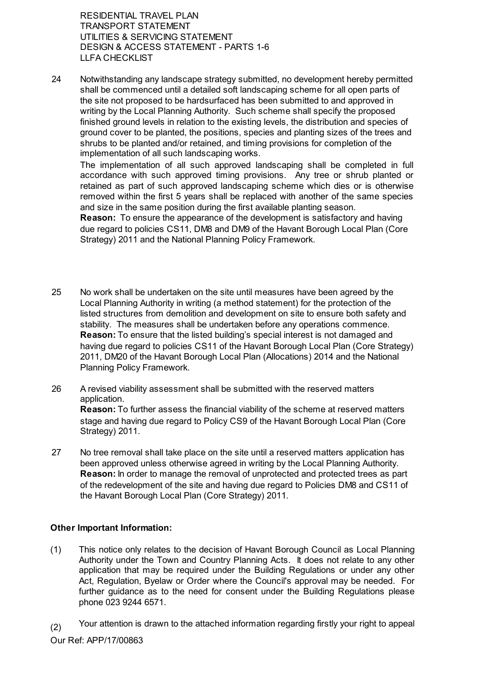RESIDENTIAL TRAVEL PLAN TRANSPORT STATEMENT UTILITIES & SERVICING STATEMENT DESIGN & ACCESS STATEMENT - PARTS 1-6 LLFA CHECKLIST

24 Notwithstanding any landscape strategy submitted, no development hereby permitted shall be commenced until a detailed soft landscaping scheme for all open parts of the site not proposed to be hardsurfaced has been submitted to and approved in writing by the Local Planning Authority. Such scheme shall specify the proposed finished ground levels in relation to the existing levels, the distribution and species of ground cover to be planted, the positions, species and planting sizes of the trees and shrubs to be planted and/or retained, and timing provisions for completion of the implementation of all such landscaping works.

The implementation of all such approved landscaping shall be completed in full accordance with such approved timing provisions. Any tree or shrub planted or retained as part of such approved landscaping scheme which dies or is otherwise removed within the first 5 years shall be replaced with another of the same species and size in the same position during the first available planting season.

**Reason:** To ensure the appearance of the development is satisfactory and having due regard to policies CS11, DM8 and DM9 of the Havant Borough Local Plan (Core Strategy) 2011 and the National Planning Policy Framework.

- 25 No work shall be undertaken on the site until measures have been agreed by the Local Planning Authority in writing (a method statement) for the protection of the listed structures from demolition and development on site to ensure both safety and stability. The measures shall be undertaken before any operations commence. **Reason:** To ensure that the listed building's special interest is not damaged and having due regard to policies CS11 of the Havant Borough Local Plan (Core Strategy) 2011, DM20 of the Havant Borough Local Plan (Allocations) 2014 and the National Planning Policy Framework.
- 26 A revised viability assessment shall be submitted with the reserved matters application. **Reason:** To further assess the financial viability of the scheme at reserved matters stage and having due regard to Policy CS9 of the Havant Borough Local Plan (Core Strategy) 2011.
- 27 No tree removal shall take place on the site until a reserved matters application has been approved unless otherwise agreed in writing by the Local Planning Authority. **Reason:** In order to manage the removal of unprotected and protected trees as part of the redevelopment of the site and having due regard to Policies DM8 and CS11 of the Havant Borough Local Plan (Core Strategy) 2011.

## **Other Important Information:**

- (1) This notice only relates to the decision of Havant Borough Council as Local Planning Authority under the Town and Country Planning Acts. It does not relate to any other application that may be required under the Building Regulations or under any other Act, Regulation, Byelaw or Order where the Council's approval may be needed. For further guidance as to the need for consent under the Building Regulations please phone 023 9244 6571.
- (2) Your attention is drawn to the attached information regarding firstly your right to appeal

Our Ref: APP/17/00863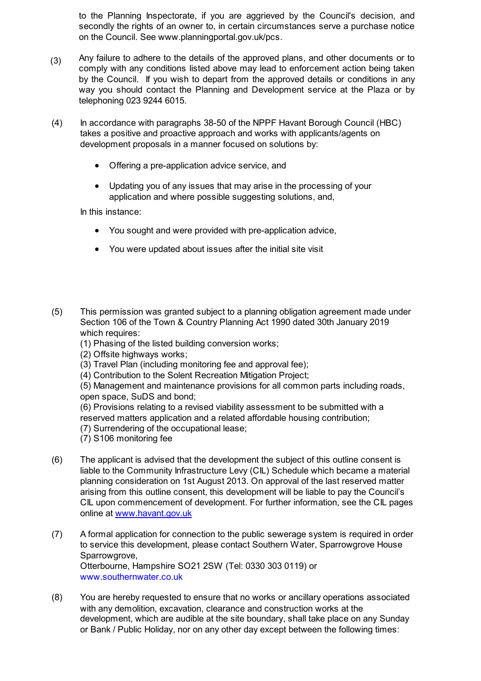to the Planning Inspectorate, if you are aggrieved by the Council's decision, and secondly the rights of an owner to, in certain circumstances serve a purchase notice on the Council. See www.planningportal.gov.uk/pcs.

- (3) Any failure to adhere to the details of the approved plans, and other documents or to comply with any conditions listed above may lead to enforcement action being taken by the Council. If you wish to depart from the approved details or conditions in any way you should contact the Planning and Development service at the Plaza or by telephoning 023 9244 6015.
- (4) In accordance with paragraphs 38-50 of the NPPF Havant Borough Council (HBC) takes a positive and proactive approach and works with applicants/agents on development proposals in a manner focused on solutions by:
	- · Offering a pre-application advice service, and
	- · Updating you of any issues that may arise in the processing of your application and where possible suggesting solutions, and,

In this instance:

- · You sought and were provided with pre-application advice,
- · You were updated about issues after the initial site visit
- (5) This permission was granted subject to a planning obligation agreement made under Section 106 of the Town & Country Planning Act 1990 dated 30th January 2019 which requires:

(1) Phasing of the listed building conversion works;

- (2) Offsite highways works;
- (3) Travel Plan (including monitoring fee and approval fee);
- (4) Contribution to the Solent Recreation Mitigation Project;

(5) Management and maintenance provisions for all common parts including roads, open space, SuDS and bond;

(6) Provisions relating to a revised viability assessment to be submitted with a reserved matters application and a related affordable housing contribution;

(7) Surrendering of the occupational lease;

(7) S106 monitoring fee

- (6) The applicant is advised that the development the subject of this outline consent is liable to the Community Infrastructure Levy (CIL) Schedule which became a material planning consideration on 1st August 2013. On approval of the last reserved matter arising from this outline consent, this development will be liable to pay the Council's CIL upon commencement of development. For further information, see the CIL pages online at www.havant.gov.uk
- (7) A formal application for connection to the public sewerage system is required in order to service this development, please contact Southern Water, Sparrowgrove House Sparrowgrove, Otterbourne, Hampshire SO21 2SW (Tel: 0330 303 0119) or www.southernwater.co.uk
- (8) You are hereby requested to ensure that no works or ancillary operations associated with any demolition, excavation, clearance and construction works at the development, which are audible at the site boundary, shall take place on any Sunday or Bank / Public Holiday, nor on any other day except between the following times: